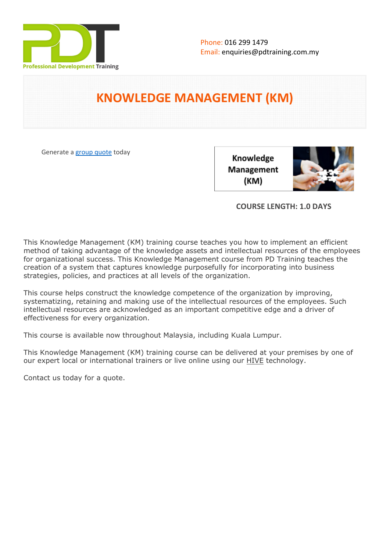

# **KNOWLEDGE MANAGEMENT (KM)**

Generate a [group quote](https://pdtraining.com.my/inhouse-training-quote?cse=PDT0045) today

Knowledge Management (KM)



# **COURSE LENGTH: 1.0 DAYS**

This Knowledge Management (KM) training course teaches you how to implement an efficient method of taking advantage of the knowledge assets and intellectual resources of the employees for organizational success. This Knowledge Management course from PD Training teaches the creation of a system that captures knowledge purposefully for incorporating into business strategies, policies, and practices at all levels of the organization.

This course helps construct the knowledge competence of the organization by improving, systematizing, retaining and making use of the intellectual resources of the employees. Such intellectual resources are acknowledged as an important competitive edge and a driver of effectiveness for every organization.

This course is available now throughout Malaysia, including Kuala Lumpur.

This Knowledge Management (KM) training course can be delivered at your premises by one of our expert local or international trainers or live online using our **HIVE** technology.

Contact us today for a quote.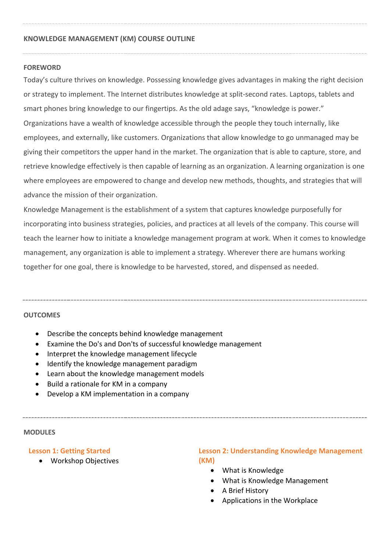#### **KNOWLEDGE MANAGEMENT (KM) COURSE OUTLINE**

#### **FOREWORD**

Today's culture thrives on knowledge. Possessing knowledge gives advantages in making the right decision or strategy to implement. The Internet distributes knowledge at split-second rates. Laptops, tablets and smart phones bring knowledge to our fingertips. As the old adage says, "knowledge is power." Organizations have a wealth of knowledge accessible through the people they touch internally, like employees, and externally, like customers. Organizations that allow knowledge to go unmanaged may be giving their competitors the upper hand in the market. The organization that is able to capture, store, and retrieve knowledge effectively is then capable of learning as an organization. A learning organization is one where employees are empowered to change and develop new methods, thoughts, and strategies that will advance the mission of their organization.

Knowledge Management is the establishment of a system that captures knowledge purposefully for incorporating into business strategies, policies, and practices at all levels of the company. This course will teach the learner how to initiate a knowledge management program at work. When it comes to knowledge management, any organization is able to implement a strategy. Wherever there are humans working together for one goal, there is knowledge to be harvested, stored, and dispensed as needed.

#### **OUTCOMES**

- Describe the concepts behind knowledge management
- Examine the Do's and Don'ts of successful knowledge management
- Interpret the knowledge management lifecycle
- Identify the knowledge management paradigm
- Learn about the knowledge management models
- Build a rationale for KM in a company
- Develop a KM implementation in a company

#### **MODULES**

#### **Lesson 1: Getting Started**

Workshop Objectives

#### **Lesson 2: Understanding Knowledge Management (KM)**

- What is Knowledge
- What is Knowledge Management
- A Brief History
- Applications in the Workplace